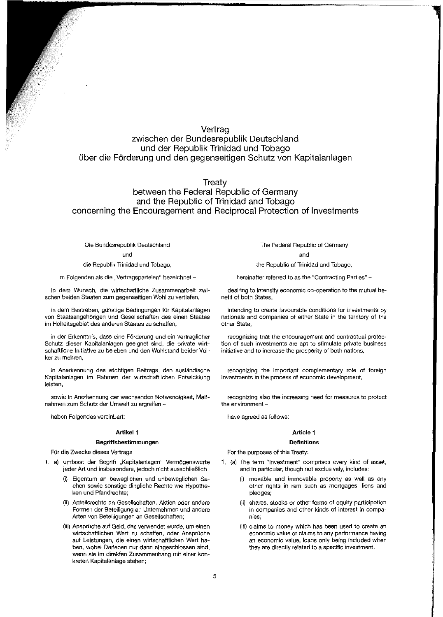# Vertrag zwischen der Bundesrepublik Deutschland und der Republik Trinidad und Tobago Uber die F6rderung und den gegenseitigen Schutz von Kapitalanlagen

**Treaty** 

# between the Federal Republic of Germany and the Republic of Trinidad and Tobago concerning the Encouragement and Reciprocal Protection of Investments

# Die Bundesrepublik Deutschland

#### und

die Republik Trinidad und Tobago,

im Folgenden als die "Vertragsparteien" bezeichnet -

in dem Wunsch, die wirtschaftliche Zusammenarbeit zwischen beiden Staaten zum gegenseitigen Wohl zu vertiefen,

in dem Bestreben, günstige Bedingungen für Kapitalanlagen von Staatsangehörigen und Gesellschaften des einen Staates im Hoheitsgebiet des anderen Staates zu schaffen,

in der Erkenntnis, dass eine F6rderung und ein vertraglicher Schutz dieser Kapitalanlagen geeignet sind, die private wirtschaftliche Initiative zu beleben und den Wohlstand beider Völker zu mehren,

in Anerkennung des wichtigen Beitrags, den auslandische Kapitalanlagen im Rahmen der wirtschaftlichen Entwicklung leisten,

sowie in Anerkennung der wachsenden Notwendigkeit, MaBnahmen zum Schutz der Umwelt zu ergreifen -

haben Folgendes vereinbart:

# Artikel 1

# **8egriffsbestimmungen**

Für die Zwecke dieses Vertrags

- 1. a) umfasst der Begriff "Kapitalanlagen" Vermögenswerte jeder Art und insbesondere, jedoch nicht ausschlieBlich
	- Eigentum an beweglichen und unbeweglichen Sachen sowie sonstige dingliche Rechte wie Hypotheken und Pfandrechte;
	- (ii) Anteilsrechte an Gesellschaften, Aktien oder andere Formen der Beteiligung an Unternehmen und andere Arten von Beteiligungen an Gesellschaften;
	- (iii) Ansprüche auf Geld, das verwendet wurde, um einen wirtschaftlichen Wert zu schaffen, oder Ansprüche auf Leistungen, die einen wirtschaftlichen Wert haben, wobei Darlehen nur dann eingeschlossen sind, wenn sie im direkten Zusammenhang mit einer konkreten Kapitalanlage stehen;

The Federal Republic of Germany

and

the Republic of Trinidad and Tobago,

hereinafter referred to as the "Contracting Parties" -

desiring to intensify economic co-operation to the mutual benefit of both States,

intending to create favourable conditions for investments by nationals and companies of either State in the territory of the other State,

recognizing that the encouragement and contractual protection of such investments are apt to stimulate private business initiative and to increase the prosperity of both nations,

recognizing the important complementary role of foreign investments in the process of economic development,

recognizing also the increasing need for measures to protect the environment -

have agreed as follows:

# **Article 1**

# **Definitions**

For the purposes of this Treaty:

- 1. (a) The term "investment" comprises every kind of asset, and in particular, though not exclusively, includes:
	- (i) movable and immovable property as well as any other rights in rem such as mortgages, liens and pledges;
	- (ii) shares, stocks or other forms of equity participation in companies and other kinds of interest in companies;
	- (iii) claims to money which has been used to create an economic value or claims to any performance having an economic value, loans only being included when they are directly related to a specific investment;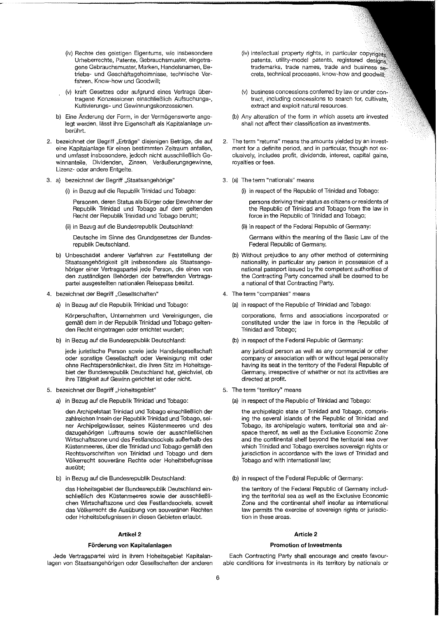- (iv) Rechte des geistigen Eigentums, wie insbesondere Urheberrechte, Patente, Gebrauchsmuster, eingetragene Gebrauchsmuster, Marken, Handelsnamen, Betriebs- und Geschattsgeheimnisse, technische Verfahren, Know-how und Goodwill;
- (v) kraft Gesetzes oder aufgrund eines Vertrags ubertragene Konzessionen einschtieBlich Aufsuchungs-, Kultivierungs- und Gewinnungskonzessionen.
- b) Eine Änderung der Form, in der Vermögenswerte angelegt werden, lasst ihre Eigenschaft als Kapitalanlage unberührt.
- 2. bezeichnet der Begriff "Erträge" diejenigen Beträge, die auf eine Kapitalanlage für einen bestimmten Zeitraum anfallen, und umfasst insbesondere, jedoch nicht ausschlieBlich Gewinnanteile, Dividenden, Zinsen, Veräußerungsgewinne, Lizenz- oder andere Entgelte.
- 3. a) bezeichnet der Begriff "Staatsangehörige"
	- (i) in Bezug auf die Republik Trinidad und Tobago:

Personen, deren Status als Burger oder Bewohner der Republik Trinidad und Tobago auf dem geltenden Recht der Republik Trinidad und Tobago beruht;

(ii) in Bezug auf die Bundesrepublik Deutschland:

Deutsche im Sinne des Grundgesetzes der Bundesrepublik Deutschland.

- b) Unbeschadet anderer Verfahren zur Feststellung der Staatsangehörigkeit gilt insbesondere als Staatsangehöriger einer Vertragspartei jede Person, die einen von den zustandigen Behbrden der betreffenden Vertragspartei ausgestellten nationalen Reisepass besitzt.
- 4. bezeichnet der Begriff "Gesellschaften"
	- a) in Bezug auf die Republik Trinidad und Tobago:

Kbrperschaften, Unternehmen und Vereinigungen, die gemäß dem in der Republik Trinidad und Tobago geltenden Recht eingetragen oder errichtet wurden;

b) in Bezug auf die Bundesrepublik Deutschland:

jede juristische Person sowie jede Handelsgesellschaft oder sonstige Gesellschaft oder Vereinigung mit oder ohne Rechtspersonlichkeit, die ihren 8itz im Hoheitsgebiet der Bundesrepublik Deutschland hat, gleichviel, ob ihre Tatigkeit auf Gewinn gerlchtet ist oder nicht.

- 5. bezeichnet der Begriff "Hoheitsgebiet"
	- a) in Bezug auf die Repubfik Trinidad und Tobago:

den Archipelstaat Trinidad und Tobago einschlieBlich der zahlreichen tnse!n der Republik Trinidad und Tobago, seiner Archipelgewässer, seines Küstenmeeres und des dazugehörigen Luftraums sowie der ausschließlichen Wirtschaftszone und des Festlandsocke!s auBerhalb des Küstenmeeres, über die Trinidad und Tobago gemäß den Rechtsvorschriften von Trinidad und Tobago und dem Volkerrecht souverane Rechte oder Hoheitsbefugnisse ausübt;

b) in Bezug auf die Bundesrepubtik Deutschland:

das Hoheitsgebiet der Bundesrepublik Deutschland einschlieBlich des Klistenmeeres sowie der ausschlieBIichen Wirtschaftszone und des Festlandsockels, sowelt das Völkerrecht die Ausübung von souveränen Rechten oder Hoheitsbefugnissen in diesen Gebieten erlaubt.

# **Artikel 2**

### **Forderung von Kapitalanlagen**

Jede Vertragspartei wird in ihrem Hoheitsgebiet Kapitalanlagen von Staatsangehörigen oder Gesellschaften der anderen

- (iv) intellectual property rights, in particular copyrights patents, utility-model patents, registered designs, trademarks, trade names, trade and business secrets, technical processes, know-how and goodwill;
- (v) business concessions conferred by law or under contract, including concessions to search for, cultivate, extract and exploit natural resources.
- (b) Any alteration of the form in which assets are invested shall not affect their classification as investments.
- 2. The term "returns" means the amounts yielded by an investment for a definite period, and in particular, though not exclusively, includes profit, dividends, interest, capital gains, royalties or fees.
- 3. (a) The term "nationals" means
	- (i) in respect of the Republic of Trinidad and Tobago:

persons deriving their status as citizens or residents of the Republic of Trinidad and Tobago from the law in force in the Republic of Trinidad and Tobago;

(ii) in respect of the Federal Republic of Germany:

Germans within the meaning of the Basic Law of the Federal Republic of Germany.

- (b) Without prejudice to any other method of determining nationality, in particular any person in possession of a national passport issued by the competent authorities of the Contracting Party concerned shall be deemed to be a national of that Contracting Party.
- 4. The term "companies" means
	- (a) in respect of the Republic of Trinidad and Tobago:

corporations, firms and associations incorporated or constituted under the law in force in the Republic of Trinidad and Tobago;

(b) in respect of the Federal Republic of Germany:

any juridical person as well as any commercial or other company or association with or without legal personality having its seat in the territory of the Federal Republic of Germany, irrespective of whether or not its activities are directed at profit.

- 5. The term "territory" means
	- (a) in respect of the Republic of Trinidad and Tobago:

the archipelagic state of Trinidad and Tobago, comprising the several islands of the Republic of Trinidad and Tobago, its archipelagic waters, territorial sea and airspace thereof, as well as the Exclusive Economic Zone and the continental shelf beyond the territorial sea over which Trinidad and Tobago exercises sovereign rights or jurisdiction in accordance with the laws of Trinidad and Tobago and with international law;

(b) in respect of the Federal Republic of Germany:

the territory of the Federal Republic of Germany including the territorial sea as well as the Exclusive Economic Zone and the continental shelf insofar as international law permits the exercise of sovereign rights or jurisdiction in these areas.

# **Article 2**

# **Promotion of Investments**

Each Contracting Party shall encourage and create favourable conditions for investments in its territory by nationals or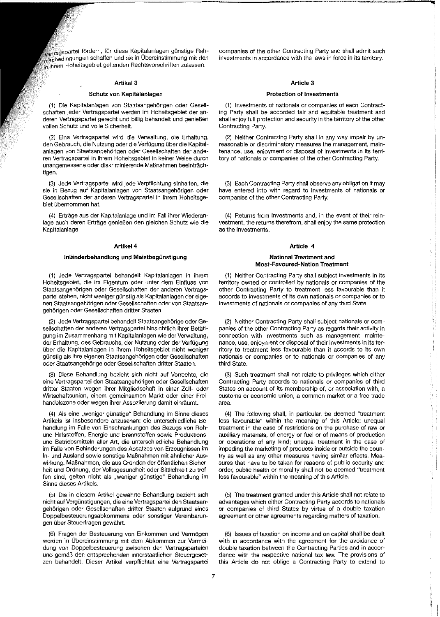,<br><sub>Wertragspartei fördern, für diese Kapitalanlagen günstige Rah-<br>menbedingungen schaffen und sie in Übereinstimmung mit den</sub> gelten<br>In ihrem Hoheitsgebiet geltenden Rechtsvorschriften zulassen.

### Artikel 3

# Schutz von Kapitalanlagen

(1) Die Kapitalanlagen *von* Staatsangehorigen oder Gesellschaften jeder Vertragspartei werden im Hoheitsgebiet der anderen Vertragspartei gerecht und billig behandelt und genieBen vollen Schutz und volle Sicherheit.

(2) Eine Vertragspartei wird die Verwaltung, die Erhaltung, den Gebrauch, die Nutzung oder die Verfügung über die Kapitalanlagen von Staatsangehörigen oder Gesellschaften der anderen Vertragspartei in ihrem Hoheitsgebiet in keiner Weise durch unangemessene oder diskriminierende MaBnahmen beeintrachtigen.

(3) Jede Vertragspartei wird jede Verpflichtung einhalten, die sie in Bezug auf Kapitalanlagen von Staatsangehörigen oder Gesellschaften der anderen Vertragspartei in ihrem Hoheitsgebiet ubernommen hat.

(4) Erträge aus der Kapitalanlage und im Fall ihrer Wiederanlage auch deren Ertrage genieBen den gleichen Schutz wie die Kapitalanlage.

# Artikel 4

## Inlanderbehandlung und Meistbegunstigung

(1) Jede Vertragspartei behandelt Kapitalanlagen in ihrem Hoheitsgebiet, die im Eigentum oder unter dem Einfluss von Staatsangehörigen oder Gesellschaften der anderen Vertragspartei stehen, nicht weniger günstig als Kapitalanlagen der eigenen Staatsangehörigen oder Gesellschaften oder von Staatsangehörigen oder Gesellschaften dritter Staaten.

(2) Jede Vertragspartei behandelt Staatsangeh6rige oder Gesellschaften der anderen Vertragspartei hinsichtlich ihrer Betatigung im Zusammenhang mit Kapitalanlagen wie der Verwaltung, der Erhaltung, des Gebrauchs, der Nutzung oder der Verfügung über die Kapitalanlagen in ihrem Hoheitsgebiet nicht weniger günstig als ihre eigenen Staatsangehörigen oder Gesellschaften oder Staatsangehörige oder Gesellschaften dritter Staaten.

(3) Diese Behandlung bezieht sich nicht auf Vorrechte, die eine Vertragspartei den Staatsangehörigen oder Gesellschaften dritter Staaten wegen ihrer Mitgliedschaft in einer Zoll- oder Wirtschaftsunion, einem gemeinsamen Markt oder einer Freihandelszone oder wegen ihrer Assoziierung damit einraumt.

(4) Als eine "weniger günstige" Behandlung im Sinne dieses Artikels ist insbesondere anzusehen: die unterschiedliche Behandlung im Falle von Einschränkungen des Bezugs von Rohund Hilfsstoffen, Energie und Brennstoffen sowie Produktionsund Betriebsmitteln aller Art, die unterschiedliche Behandlung im Faile von Behinderungen des Absatzes von Erzeugnissen im In- und Ausland sowie sonstige MaBnahmen mit ahnlicher Auswirkung. Maßnahmen, die aus Gründen der öffentlichen Sicherheit und Ordnung, der Volksgesundheit oder Sittlichkeit zu treffen sind, gelten nicht als "weniger günstige" Behandlung im Sinne dieses Artikels.

(5) Die in diesem Artikel gewahrte Behandlung bezieht sich nicht auf Vergünstigungen, die eine Vertragspartei den Staatsangehörigen oder Gesellschaften dritter Staaten aufgrund eines Doppelbesteuerungsabkommens oder sonstiger Vereinbarungen über Steuerfragen gewährt.

(6) Fragen der Besteuerung von Einkommen und Vermogen werden in Übereinstimmung mit dem Abkommen zur Vermeidung von Doppelbesteuerung zwischen den Vertragsparteien und gemäß den entsprechenden innerstaatlichen Steuergesetzen behandelt. Dieser Artikel verpflichtet eine Vertragspartei companies of the other Contracting Party and shall admit such investments in accordance with the laws in force in its territory.

# Article 3

### Protection of Investments

(1) Investments of nationals or companies of each Contracting Party shall be accorded fair and equitable treatment and shall enjoy full protection and security in the territory of the other Contracting Party.

(2) Neither Contracting Party shall in any way impair by unreasonable or discriminatory measures the management, maintenance, use, enjoyment or disposal of investments in its territory of nationals or companies of the other Contracting Party.

(3) Each Contracting Party shall observe any obligation it may have entered into with regard to investments of nationals or companies of the other Contracting Party.

(4) Returns from investments and, in the event of their reinvestment, the returns therefrom, shall enjoy the same protection as the investments.

### Article 4

### National Treatment and Most~Favoured-Nation Treatment

(1) Neither Contracting Party shall subject investments in its territory owned or controlled by nationals or companies of the other Contracting Party to treatment less favourable than it accords to investments of its own nationals or companies or to investments of nationals or companies of any third State.

(2) Neither Contracting Party shall subject nationals or companies of the other Contracting Party as regards their activity in connection with investments such as management, maintenance, use, enjoyment or disposal of their investments in its territory to treatment less favourable than it accords to its own nationals or companies or to nationals or companies of any third State.

(3) Such treatment shall not relate to privileges which either Contracting Party accords to nationals or companies of third States on account of its membership of, or association with, a customs or economic union, a common market or a free trade area.

(4) The following shall, in particular, be deemed "treatment less favourable" within the meaning of this Article: unequal treatment in the case of restrictions on the purchase of raw or auxiliary materials, of energy or fuel or of means of production or operations of any kind; unequal treatment in the case of impeding the marketing of products inside or outside the country as well as any other measures having similar effects. Measures that have to be taken for reasons of public security and order, public health or morality shall not be deemed "treatment less favourable" within the meaning of this Article.

(5) The treatment granted under this Article shall not relate to advantages which either Contracting Party accords to nationals or companies of third States by virtue of a double taxation agreement or other agreements regarding matters of taxation.

(6) Issues of taxation on income and on capital shall be dealt with in accordance with the agreement for the avoidance of double taxation between the Contracting Parties and in accordance with the respective national tax law. The provisions of this Article do not oblige a Contracting Party to extend to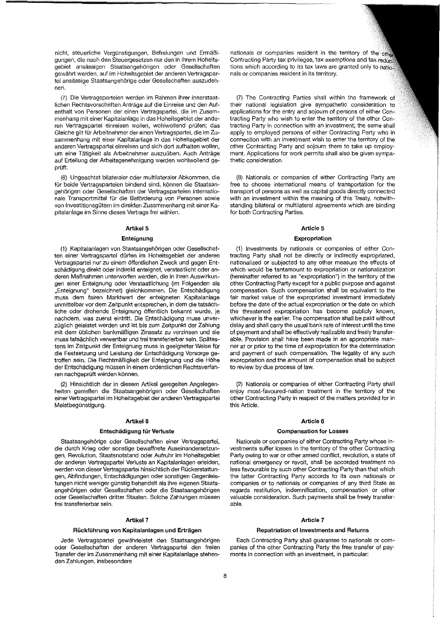nicht, steuerliche Vergünstigungen, Befreiungen und Ermäßigungen, die nach den Steuergesetzen nUr den in ihrem Hoheitsgebiet ansässigen Staatsangehörigen oder Gesellschaften gewahrt werden, auf im Hoheitsgebiet der anderen Vertragspartei ansässige Staatsangehörige oder Gesellschaften auszudehnen.

(7) Die Vertragsparteien werden im Rahmen ihrer innerstaatlichen Rechtsvorschriften Antrage auf die Einreise und den Aufenthalt von Personen der einen Vertragspartei, die im Zusammenhang mit einer Kapitalanlage in das Hoheitsgebiet der anderen Vertragspartei einreisen wollen, wohlwollend prüfen; das Gleiche gilt für Arbeitnehmer der einen Vertragspartei, die im Zusammenhang mit einer Kapitalanlage in das Hoheitsgebiet der anderen Vertragspartei einreisen und sich dort aufhalten wollen, um eine Tätigkeit als Arbeitnehmer auszuüben. Auch Anträge auf Erteilung der Arbeitsgenehmigung werden wohlwollend geprüft.

(8) Ungeachtet bilateraler oder multilateraler Abkommen, die für beide Vertragsparteien bindend sind, können die Staatsangehörigen oder Gesellschaften der Vertragsparteien internationale Transportmittel für die Beförderung von Personen sowie von Investitionsgütern im direkten Zusammenhang mit einer Kapitalanlage im Sinne dieses Vertrags frei wahlen.

# Artikel<sub>5</sub>

### **Enteignung**

(1) Kapitalanlagen von Staatsangehörigen oder Gesellschaften einer Vertragspartei dürfen im Hoheitsgebiet der anderen Vertragspartei nur zu einem 6ffentlichen Zweck und gegen Entschadigung direkt oder indirekt enteignet, verstaatlicht oder anderen MaBnahmen unterworien werden, die in ihren Auswirkungen einer Enteignung oder Verstaatlichung (im Folgenden als "Enteignung" bezeichnet) gleichkommen. Die Entschädigung muss dem fairen Marktwert der enteigneten Kapitalanlage unmittelbar vor dem Zeitpunkt entsprechen, in dem die tatsachliche oder drohende Enteignung 6ffentlich bekannt wurde, je nachdem, was zuerst eintritt. Die Entschädigung muss unverzüglich geleistet werden und ist bis zum Zeitpunkt der Zahlung mit dem üblichen bankmäßigen Zinssatz zu verzinsen und sie muss tatsächlich verwertbar und frei transferierbar sein. Spätestens im Zeitpunkt der Enteignung muss in geeigneter Weise für die Festsetzung und Leistung der Entschadigung Vorsorge getroffen sein. Die RechtmaBigkeit der Enteignung und die H6he der Entschädigung müssen in einem ordentlichen Rechtsverfahren nachgeprüft werden können.

(2) Hinsichtlich der in diesem Artikel geregelten Angelegenheiten genießen die Staatsangehörigen oder Gesellschaften einer Vertragspartei im Hoheitsgebiet der anderen Vertragspartei Meistbegünstigung.

# Artikel 6

### **Entschadigung fur Verluste**

Staatsangehörige oder Gesellschaften einer Vertragspartei, die durch Krieg oder sonstige bewaffnete Auseinandersetzungen, Revolution, Staatsnotstand oder Aufruhr im Hoheitsgebiet der anderen Vertragspartei Verluste an Kapitalanlagen erleiden, werden von dieser Vertragspartei hinsichtlich der Rückerstattungen, Abfindungen, Entschadigungen oder sonstigen Gegenleistungen nicht weniger günstig behandelt als ihre eigenen Staatsangehörigen oder Gesellschaften oder die Staatsangehörigen oder Gesellschaften dritter Staaten. Solche Zahlungen müssen frei transferierbar sein.

### Artikel 7

### **RiickfUhrung von Kapitalanlagen und Ertragen**

Jede Vertragspartei gewährleistet den Staatsangehörigen oder Gesellschaften der anderen Vertragspartei den freien Transfer der im Zusammenhang mit einer Kapitalanlage stehenden Zahlungen, insbesondere

nationals or companies resident in the territory of the other Contracting Party tax privileges, tax exemptions and tax reductions which according to its tax laws are granted only to nationals or companies resident in its territory.

(7) The Contracting Parties shall within the framework of their national legislation give sympathetic consideration to applications for the entry and sojourn of persons of either Contracting Party who wish to enter the territory of the other Contracting Party in connection with an investment; the same shall apply to employed persons of either Contracting Party who in connection with an investment wish to enter the territory of the other Contracting Party and sojourn there to take up employment. Applications for work permits shall also be given sympathetic consideration.

(8) Nationals or companies of either Contracting Party are free to choose international means of transportation for the transport of persons as well as capital goods directly connected with an investment within the meaning of this Treaty, notwithstanding bilateral or multilateral agreements which are binding for both Contracting Parties,

# **Article** 5

### **Expropriation**

(1) Investments by nationals or companies of either Contracting Party shall not be directly or indirectly expropriated, nationalized or subjected to any other measure the effects of which would be tantamount to expropriation or nationalization (hereinafter referred to as "expropriation") in the territory of the other Contracting Party except for a public purpose and against compensation, Such compensation shall be equivalent to the fair market value of the expropriated investment immediately before the date of the actual expropriation or the date on which the threatened expropriation has become publicly known, whichever is the earlier. The compensation shall be paid without delay and shall carry the usual bank rate of interest until the time of payment and shall be effectively realizable and freely transferable. Provision shall have been made in an appropriate manner at or prior to the time of expropriation for the determination and payment of such compensation, The legality of any such expropriation and the amount of compensation shall be subject to review by due process of law.

(2) Nationals or companies of either Contracting Party shall enjoy most-favoured-nation treatment in the territory of the other Contracting Party in respect of the matters provided for in this Article.

# **Article 6**

### **Compensation for Losses**

Nationals or companies of either Contracting Party whose investments suffer losses in the territory of the other Contracting Party owing to war or other armed conflict, revolution, a state of national emergency or revolt, shall be accorded treatment no less favourable by such other Contracting Party than that which the latter Contracting Party accords to its own nationals or companies or to nationals or companies of any third State as regards restitution, indemnification, compensation or other valuable consideration. Such payments shall be freely transferable.

### **Article 7**

#### **Repatriation of Investments and Returns**

Each Contracting Party shall guarantee to nationals or companies of the other Contracting Party the free transfer of payments in connection with an investment, in particular: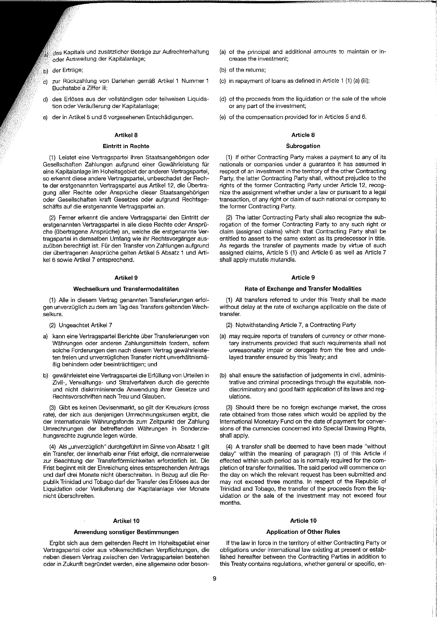- <sub>a)</sub> des Kapitals und zusätzlicher Beträge zur Aufrechterhaltung oder Ausweitung der Kapitalanlage;
- der Erträge; 'nУ
- c) zur Rückzahlung von Darlehen gemäß Artikel 1 Nummer 1 Buchstabe a Ziffer iii;
- d) des Erlöses aus der vollständigen oder teilweisen Liquidation oder Veräußerung der Kapitalanlage;
- der in Artikel 5 und 6 vorgesehenen Entschädigungen.

# Artikel 8

# **Eintritt in Rechte**

(1) Leistet eine Vertragspartei ihren Staatsangehorigen oder Gesellschaften Zahlungen aufgrund einer Gewährleistung für eine Kapitalanlage im Hoheitsgebiet der anderen Vertragspartei, so erkennt diese andere Vertragspartei, unbeschadet der Rechte der erstgenannten Vertragspartei aus Artikel 12, die Übertragung aller Rechte oder Ansprüche dieser Staatsangehörigen oder Gesellschaften kraft Gesetzes oder aufgrund Rechtsgeschafis auf die erstgenannte Vertragspartei an.

(2) Ferner erkennt die andere Vertragspartei den Eintritt der erstgenannten Vertragspartei in alle diese Rechte oder Ansprüche (übertragene Ansprüche) an, welche die erstgenannte Vertragspartei in demselben Umfang wie ihr Rechtsvorganger auszuüben berechtigt ist. Für den Transfer von Zahlungen aufgrund der übertragenen Ansprüche gelten Artikel 5 Absatz 1 und Artikel 6 sowie Artikel 7 entsprechend.

### **Artikel 9**

### **Wechselkurs und Transfermodalitaten**

(1) Alle in diesem Vertrag genannten Transferierungen erfolgen unverzüglich zu dem am Tag des Transfers geltenden Wechselkurs.

- (2) Ungeachtet Artikel 7
- a) kann eine Vertragspartei Berichte uber Transferierungen von Wahrungen oder anderen Zahlungsmitteln fordern, sofern solche Forderungen den nach diesem Vertrag gewahrleisteten freien und unverzüglichen Transfer nicht unverhältnismä-Big behindern oder beeintrachtigen; und
- gewährleistet eine Vertragspartei die Erfüllung von Urteilen in Zivil-, Verwaltungs- und Strafveriahren durch die gerechte und nicht diskriminierende Anwendung ihrer Gesetze und Rechtsvorschriften nach Treu und Glauben.

(3) Gibt es keinen Devisenmarkt, so gilt der Kreuzkurs (cross rate), der sich aus denjenigen Umrechnungskursen ergibt, die der Internationale Wahrungsfonds zum Zeitpunkt der Zahlung Umrechnungen der betreffenden Wahrungen in Sonderziehungsrechte zugrunde legen würde.

(4) Als "unverzüglich" durchgeführt im Sinne von Absatz 1 gilt ein Transfer, der innerhalb einer Frist eriolgt, die normalerweise zur Beachtung der Transferförmlichkeiten erforderlich ist. Die Frist beginnt mit der Einreichung eines entsprechenden Antrags und darf drei Monate nicht uberschreiten. In Bezug auf die Republik Trinidad und Tobago darf der Transfer des Erlöses aus der Liquidation oder VerauBerung der Kapitalanlage vier Monate nicht überschreiten.

### Artikel<sub>10</sub>

### **Anwendung sonstiger Bestimmungen**

Ergibt sich aus dem geltenden Recht im Hoheitsgebiet einer Vertragspartei oder aus völkerrechtlichen Verpflichtungen, die neben diesem Vertrag zwischen den Vertragsparteien bestehen oder in Zukunft begründet werden, eine allgemeine oder beson-

- (a) of the principal and additional amounts to maintain or increase the investment;
- (b) of the returns;
- (c) in repayment of loans as defined in Article 1 (1) (a) (iii);
- (d) of the proceeds from the liquidation or the sale of the whole or any part of the investment;
- (e) of the compensation provided for in Articles 5 and 6.

# **Article 8**

#### **Subrogation**

(1) If either Contracting Party makes a payment to any of its nationals or companies under a guarantee it has assumed in respect of an investment in the territory of the other Contracting Party, the latter Contracting Party shall, without prejudice to the rights of the former Contracting Party under Article 12, recognize the assignment whether under a law or pursuant to a legal transaction, of any right or claim of such national or company to the former Contracting Party.

(2) The latter Contracting Party shall also recognize the subrogation of the former Contracting Party to any such right or claim (assigned claims) which that Contracting Party shall be entitled to assert to the same extent as its predecessor in title. As regards the transfer of payments made by virtue of such assigned claims, Article 5 (1) and Article 6 as well as Article 7 shall apply mutatis mutandis.

### Article 9

#### **Rate of Exchange and Transfer Modalities**

(1) All transfers referred to under this Treaty shall be made without delay at the rate of exchange applicable on the date of transfer.

- (2) Notwithstanding Article 7, a Contracting Party
- (a) may require reports of transfers of currency or other monetary instruments provided that such requirements shall not unreasonably impair or derogate from the free and undelayed transfer ensured by this Treaty; and
- (b) shall ensure the satisfaction of judgements in civil, administrative and criminal proceedings through the equitable, nondiscriminatory and good faith application of its laws and regulations.

(3) Should there be no foreign exchange market, the cross rate obtained from those rates which would be applied by the International Monetary Fund on the date of payment for conversions of the currencies concerned into Special Drawing Rights, shall apply.

(4) A transfer shall be deemed to have been made "without delay" within the meaning of paragraph (1) of this Article if effected within such period as is normally required for the completion of transfer formalities. The said period will commence on the day on which the relevant request has been submitted and may not exceed three months. In respect of the Republic of Trinidad and Tobago, the transfer of the proceeds from the liquidation or the sale of the investment may not exceed four months.

### **Article 10**

### **Application of Other Rules**

If the law in force in the territory of either Contracting Party or obligations under international law existing at present or established hereafter between the Contracting Parties in addition to this Treaty contains regulations, whether general or specific, en-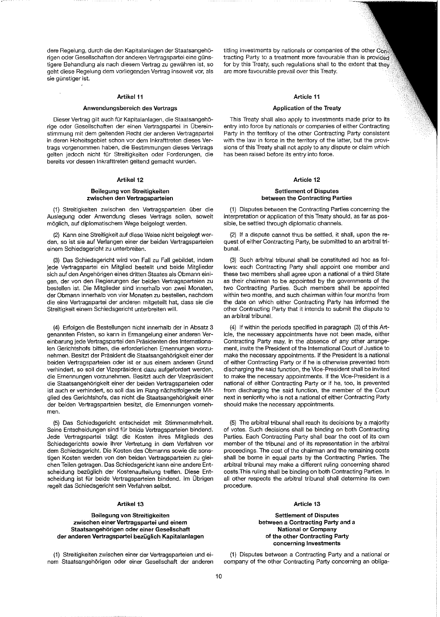dere Regelung, durch die den Kapitalanlagen der Staatsangeh6 rigen oder Gesellschaften der anderen Vertragspartei eine günstigere Behandlung als nach diesem Vertrag zu gewahren ist, so geht diese Regelung dem vorllegenden Vertrag insoweit vor, als sie günstiger ist.

### **Artikel 11**

### Anwendungsbereich des Vertrags

Dieser Vertrag gilt auch für Kapitalanlagen, die Staatsangehörige oder Gesellschaften der einen Vertragspartei in Übereinstimmung mit dem geltenden Recht der anderen Vertragspartei in deren Hoheitsgebiet schon vor dem Inkrafttreten dieses Vertrags vorgenommen haben, die Bestimmungen dieses Vertrags gelten jedoch nicht für Streitigkeiten oder Forderungen, die bereits vor dessen Inkrafttreten geltend gemacht wurden.

# Artikel 12

### Beilegung von Streitigkeiten zwischen den Vertragsparteien

(1) Streitigkeiten zwischen den Vertragsparteien über die Auslegung oder Anwendung dieses Vertrags sollen, soweit m6glich, auf diplomatischem Wege beigelegt werden.

(2) Kann eine Streitigkeit auf diese Weise nicht beigelegt werden, so ist sie auf Verlangen einer der beiden Vertragsparteien einem Schiedsgericht zu unterbreiten.

(3) Das Schiedsgericht wird von Fall zu Fall gebildet, indem jede Vertragspartei ein Mitglied bestellt und beide Mitglieder sich auf den Angeh6rigen eines dritten Staates als Obmann einigen, der von den Regierungen der beiden Vertragsparteien zu bestellen ist. Die MitgJieder sind innerhalb von zwei Monaten, der Obmann innerhalb von vier Monaten zu bestellen, nachdem die eine Vertragspartei der anderen mitgeteilt hat, dass sie die Streitigkeit einem Schiedsgericht unterbreiten will.

(4) Erfolgen die Bestellungen nicht innerhalb der in Absatz 3 genannten Fristen, so kann in Ermangelung einer anderen Vereinbarung jede Vertragspartei den Prasidenten des Internationalen Gerichtshofs bitten, die erforderlichen Ernennungen vorzunehmen. Besitzt der Präsident die Staatsangehörigkeit einer der beiden Vertragsparteien oder ist er aus einem anderen Grund verhindert, so soll der Vizepräsident dazu aufgefordert werden, die Ernennungen vorzunehmen. Besitzt auch der Vizeprasident die Staatsangehörigkeit einer der beiden Vertragsparteien oder ist auch er verhindert, so soll das im Rang nächstfolgende Mitglied des Gerichtshofs, das nicht die Staatsangehörigkeit einer der beiden Vertragsparteien besitzt, die Ernennungen vornehmen.

(5) Das Schiedsgericht entscheidet mit Stimmenmehrheit. Seine Entscheidungen sind für beide Vertragsparteien bindend. Jede Vertragspartei tragt die Kosten ihres Mitglieds des Schiedsgerichts sowie ihrer Vertretung in dem Verfahren vor dem Schiedsgericht. Die Kosten des Obmanns sowie die sonstigen Kosten werden von den beiden Vertragsparteien zu gleichen Teilen getragen. Das Schiedsgericht kann eine andere Entscheidung bezüglich der Kostenaufteilung treffen. Diese Entscheidung ist für beide Vertragsparteien bindend. Im Übrigen regelt das Schiedsgericht sein Verfahren selbst.

# Artikel 13

# Beilegung von Streitigkeiten zwischen einer Vertragspartei und einem Staatsangehorigen oder einer Gesellschaft der anderen Vertragspartei bezüglich Kapitalanlagen

(1) Streitigkeiten zwischen einer der Vertragsparteien und einem Staatsangeh6rigen oder einer Gesellschaft der anderen titling investments by nationals or companies of the other Cons tracting Party to a treatment more favourable than is provided for by this Treaty, such regulations shall to the extent that they are more favourable prevail over this Treaty.

### Article 11

# Application of the Treaty

This Treaty shall also apply to investments made prior to its entry into force by nationals or companies of either Contracting Party in the territory of the other Contracting Party consistent with the law in force in the territory of the latter, but the provisions of this Treaty shall not apply to any dispute or claim which has been raised before its entry into force.

# Article 12

### Settlement of Disputes between the Contracting Parties

(1) Disputes between the Contracting Parties concerning the interpretation or application of this Treaty should, as far as pos~ sible, be settled through diplomatic channels.

(2) If a dispute cannot thus be settled, it shall, upon the request of either Contracting Party, be submitted to an arbitral tri~ bunal.

(3) Such arbitral tribunal shall be constituted ad hoc as follows: each Contracting Party shall appoint one member and these two members shall agree upon a national of a third State as their chairman to be appointed by the governments of the two Contracting Parties. Such members shall be appointed within two months, and such chairman within four months from the date on which either Contracting Party has informed the other Contracting Party that it intends to submit the dispute to an arbitral tribunal.

(4) If within the periods specified in paragraph (3) of this Article, the necessary appointments have not been made, either Contracting Party may, in the absence of any other arrangement, invite the President of the International Court of Justice to make the necessary appointments. If the President is a national of either Contracting Party or if he is otherwise prevented from discharging the said function, the Vice-President shall be invited to make the necessary appointments. If the Vice-President is a national of either Contracting Party or if he, too, is prevented from discharging the said function, the member of the Court next in seniority who is not a national of either Contracting Party should make the necessary appointments.

(5) The arbitral tribuna! shall reach its decisions by a majority of votes. Such decisions shall be binding on both Contracting Parties. Each Contracting Party shall bear the cost of its own member of the tribunal and of its representation in the arbitral proceedings. The cost of the chairman and the remaining costs shall be borne in equal parts by the Contracting Parties. The arbitral tribunal may make a different ruling concerning shared costs.This ruling shall be binding on both Contracting Parties. In all other respects the arbitral tribunal shall determine its own procedure.

# Article 13

Settlement of Disputes between a Contracting Party and a National or Company of the other Contracting Party concerning Investments

(1) Disputes between a Contracting Party and a national or company of the other Contracting Party concerning an obJiga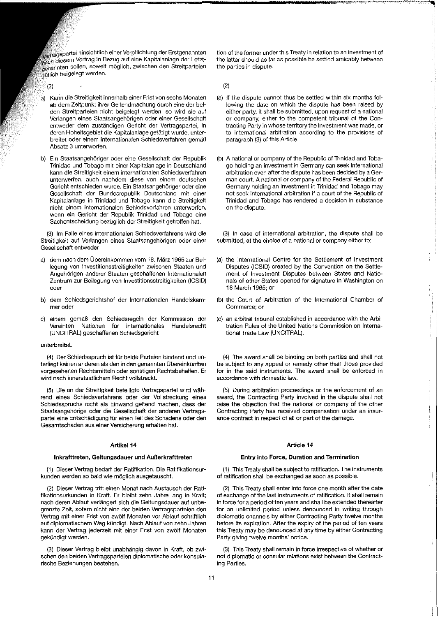$\bar{V}_{\rm{V}e}$ rragspartei hinsichtlich einer Verpflichtung der Erstgenannten Vertrag in Bezug auf eine Kapitalanlage der Letztwerden sollen, soweit möglich, zwischen den Streitparteien gütlich beigelegt werden.

(2)

- a) Kann die Streitigkeit innerhalb einer Frist von sechs Monaten ab dem Zeitpunkt ihrer Geltendmachung durch eine der belden Streitparteien nicht beigelegt werden, so wird sie auf Verlangen eines Staatsangeh6rigen oder einer Gesellschaft entweder dem zustandigen Gericht der Vertragspartei, in deren Hoheitsgebiet die Kapitalanlage getätigt wurde, unterbreitet oder elnem internationalen Schiedsveriahren gemaB Absatz 3 unterworfen.
- b) Ein Staatsangehöriger oder eine Gesellschaft der Republik Trinidad und Tobago mit einer Kapitalanlage in Deutschland kann die Streitigkeit einem internationalen Schiedsverlahren unterwerfen, auch nachdem diese von einem deutschen Gericht entschieden wurde. Ein Staatsangehoriger oder eine Gesellschaft der Bundesrepublik Deutschland mit einer Kapitalanlage in Trinidad und Tobago kann die Streitigkeit nicht einem internationalen Schiedsverfahren unterwerfen, wenn ein Gericht der Republik Trinidad und Tobago eine Sachentscheidung bezüglich der Streitigkeit getroffen hat.

(3) 1m Faile eines internationalen Schiedsverfahrens wird die Streitigkeit auf Verlangen eines Staatsangehörigen oder einer Gesellschaft entweder

- a) dem nach dem Obereinkommen vom 18. Marz 1965 zur Beilegung von Investitionsstreitigkeiten zwischen Staaten und Angeh6rigen anderer Staaten geschaffenen Internationalen Zentrum zur Beilegung von Investitionsstreitigkeiten (ICSID) oder
- b) dem Schiedsgerichtshof der Internationalen Handelskammer oder
- c) einem gemaB den Schiedsregeln der Kommission der Vereinten Nationen für internationales Handelsrecht (UNCITRAL) geschaffenen Schiedsgericht

#### unterbreitet.

(4) Der Schiedsspruch ist für beide Parteien bindend und unterliegt keinen anderen als den in den genannten Übereinkünften vorgesehenen Rechtsmitteln oder sonstigen Rechtsbehelfen. Er wird nach innerstaatlichem Recht vollstreckt.

(5) Die an der Streitigkeit beteiligte Vertragspartei wird wahrend eines Schiedsverfahrens oder der Vollstreckung eines Schiedsspruchs nicht als Einwand geltend machen, dass der Staatsangehörige oder die Gesellschaft der anderen Vertragspartei eine Entschädigung für einen Teil des Schadens oder den Gesamtschaden aus einer Versicherung erhalten hat.

### Artikel 14

### **Inkrafttreten, Geltungsdauer uod AuBerkrafttreten**

(1) Dieser Vertrag bedarf der Ratifikation. Die Ratifikationsurkunden werden so bald wie möglich ausgetauscht.

(2) Dieser Vertrag tritt einen Monat nach Austausch der Ratifikationsurkunden in Kraft. Er bleibt zehn Jahre lang in Kraft; nach deren Ablauf verlängert sich die Geltungsdauer auf unbegrenzte Zeit, sofern nicht eine der beiden Vertragspartelen den Vertrag mit einer Frist von zw61f Monaten vor Ablauf schriftlich auf diplomatischem Weg kündigt. Nach Ablauf von zehn Jahren kann der Vertrag jederzeit mit einer Frist von zwölf Monaten gekündigt werden.

(3) Dieser Vertrag bleibt unabhangig davon in Kraft, ob zwischen den beiden Vertragsparteien diplomatische oder konsularische Beziehungen bestehen.

tion of the former under this Treaty in relation to an investment of the latter should as far as possible be settled amicably between the parties in dispute.

(2)

- (a) If the dispute cannot thus be settled within six months following the date on which the dispute has been raised by either party, it shall be submitted, upon request of a national or company, either to the competent tribunal of the Contracting Party in whose territory the investment was made, or to international arbitration according to the provisions of paragraph (3) of this Article.
- (b) A national or company of the Republic of Trinidad and Tobago holding an investment in Germany can seek international arbitration even after the dispute has been decided by a German court. A national or company of the Federal Republic of Germany holding an investment in Trinidad and Tobago may not seek international arbitration if a court of the Republic of Trinidad and Tobago has rendered a decision in substance on the dispute.

(3) In case of international arbitration, the dispute shall be submitted, at the choice of a national or company either to:

- (a) the International Centre for the Settlement of Investment Disputes (ICSID) created by the Convention on the Settlement of Investment Disputes between States and Nationals of other States opened for signature in Washington on 18 March 1965; or
- (b) the Court of Arbitration of the International Chamber of Commerce; or
- (c) an arbitral tribunal established in accordance with the Arbitration Rules of the United Nations Commission on International Trade Law (UNCITRAL).

(4) The award shall be binding on both parties and shall not be subject to any appeal or remedy other than those provided for in the said instruments. The award shall be enforced in accordance with domestic law.

(5) During arbitration proceedings or the enforcement of an award, the Contracting Party involved in the dispute shall not raise the objection that the national or company of the other Contracting Party has received compensation under an insurance contract in respect of all or part of the damage.

### **Article 14**

### **Entry into Force, Duration and Termination**

(1) This Treaty shall be subject to ratification. The instruments of ratification shall be exchanged as soon as possible.

(2) This Treaty shall enter into force one month after the date of exchange of the last instruments of ratification. It shall remain in force for a period of ten years and shall be extended thereafter for an unlimited period unless denounced in writing through diplomatic channels by either Contracting Party twelve months before its expiration. After the expiry of the period of ten years this Treaty may be denounced at any time by either Contracting Party giving twelve months' notice.

(3) This Treaty shall remain in force irrespective of whether or not diplomatic or consular relations exist between the Contracting Parties.